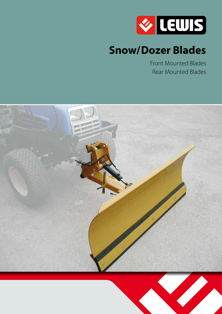

# **Snow/Dozer Blades**

Front Mounted Blades Rear Mounted Blades